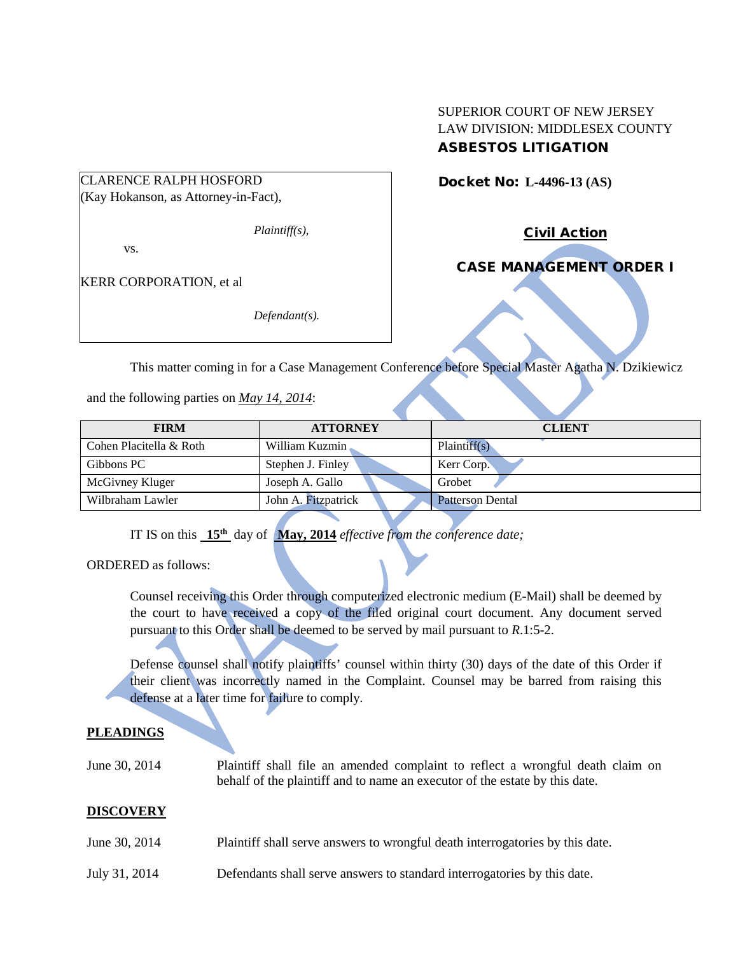CLARENCE RALPH HOSFORD

(Kay Hokanson, as Attorney-in-Fact),

*Plaintiff(s),*

vs.

KERR CORPORATION, et al

*Defendant(s).*

## SUPERIOR COURT OF NEW JERSEY LAW DIVISION: MIDDLESEX COUNTY ASBESTOS LITIGATION

Docket No: **L-4496-13 (AS)** 

Civil Action

# CASE MANAGEMENT ORDER I

This matter coming in for a Case Management Conference before Special Master Agatha N. Dzikiewicz

and the following parties on *May 14, 2014*:

| <b>FIRM</b>             | <b>ATTORNEY</b>     | <b>CLIENT</b>           |  |  |
|-------------------------|---------------------|-------------------------|--|--|
| Cohen Placitella & Roth | William Kuzmin      | Plaintiff(s)            |  |  |
| Gibbons PC              | Stephen J. Finley   | Kerr Corp.              |  |  |
| McGivney Kluger         | Joseph A. Gallo     | Grobet                  |  |  |
| Wilbraham Lawler        | John A. Fitzpatrick | <b>Patterson Dental</b> |  |  |

IT IS on this **15th** day of **May, 2014** *effective from the conference date;*

ORDERED as follows:

Counsel receiving this Order through computerized electronic medium (E-Mail) shall be deemed by the court to have received a copy of the filed original court document. Any document served pursuant to this Order shall be deemed to be served by mail pursuant to *R*.1:5-2.

Defense counsel shall notify plaintiffs' counsel within thirty (30) days of the date of this Order if their client was incorrectly named in the Complaint. Counsel may be barred from raising this defense at a later time for failure to comply.

### **PLEADINGS**

| June 30, 2014 | Plaintiff shall file an amended complaint to reflect a wrongful death claim on |  |  |  |  |
|---------------|--------------------------------------------------------------------------------|--|--|--|--|
|               | behalf of the plaintiff and to name an executor of the estate by this date.    |  |  |  |  |

### **DISCOVERY**

- June 30, 2014 Plaintiff shall serve answers to wrongful death interrogatories by this date.
- July 31, 2014 Defendants shall serve answers to standard interrogatories by this date.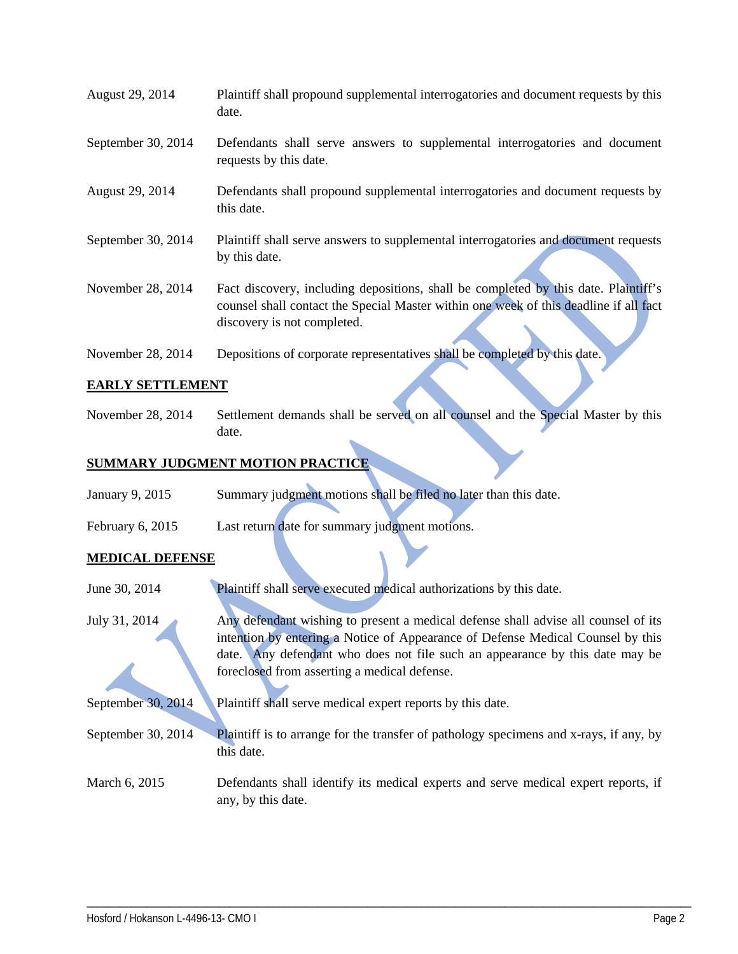| August 29, 2014    | Plaintiff shall propound supplemental interrogatories and document requests by this<br>date.                                                                                                                |
|--------------------|-------------------------------------------------------------------------------------------------------------------------------------------------------------------------------------------------------------|
| September 30, 2014 | Defendants shall serve answers to supplemental interrogatories and document<br>requests by this date.                                                                                                       |
| August 29, 2014    | Defendants shall propound supplemental interrogatories and document requests by<br>this date.                                                                                                               |
| September 30, 2014 | Plaintiff shall serve answers to supplemental interrogatories and document requests<br>by this date.                                                                                                        |
| November 28, 2014  | Fact discovery, including depositions, shall be completed by this date. Plaintiff's<br>counsel shall contact the Special Master within one week of this deadline if all fact<br>discovery is not completed. |
| November 28, 2014  | Depositions of corporate representatives shall be completed by this date.                                                                                                                                   |

### **EARLY SETTLEMENT**

November 28, 2014 Settlement demands shall be served on all counsel and the Special Master by this date.

### **SUMMARY JUDGMENT MOTION PRACTICE**

| January 9, 2015 |  |  | Summary judgment motions shall be filed no later than this date. |
|-----------------|--|--|------------------------------------------------------------------|
|                 |  |  |                                                                  |

February 6, 2015 Last return date for summary judgment motions.

### **MEDICAL DEFENSE**

| June 30, 2014      | Plaintiff shall serve executed medical authorizations by this date.                                                                                                                                                                                   |
|--------------------|-------------------------------------------------------------------------------------------------------------------------------------------------------------------------------------------------------------------------------------------------------|
| July 31, 2014      | Any defendant wishing to present a medical defense shall advise all counsel of its<br>intention by entering a Notice of Appearance of Defense Medical Counsel by this<br>date. Any defendant who does not file such an appearance by this date may be |
|                    | foreclosed from asserting a medical defense.                                                                                                                                                                                                          |
| September 30, 2014 | Plaintiff shall serve medical expert reports by this date.                                                                                                                                                                                            |
| September 30, 2014 | Plaintiff is to arrange for the transfer of pathology specimens and x-rays, if any, by<br>this date.                                                                                                                                                  |
| March 6, 2015      | Defendants shall identify its medical experts and serve medical expert reports, if<br>any, by this date.                                                                                                                                              |

\_\_\_\_\_\_\_\_\_\_\_\_\_\_\_\_\_\_\_\_\_\_\_\_\_\_\_\_\_\_\_\_\_\_\_\_\_\_\_\_\_\_\_\_\_\_\_\_\_\_\_\_\_\_\_\_\_\_\_\_\_\_\_\_\_\_\_\_\_\_\_\_\_\_\_\_\_\_\_\_\_\_\_\_\_\_\_\_\_\_\_\_\_\_\_\_\_\_\_\_\_\_\_\_\_\_\_\_\_\_